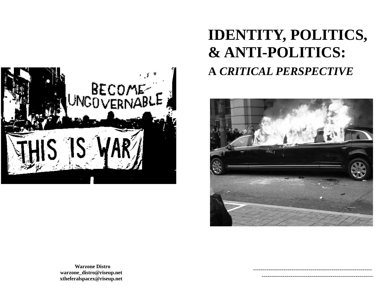

# **IDENTITY, POLITICS, & ANTI-POLITICS: A** *CRITICAL PERSPECTIVE*



 *-------------------------------------------------------------- ----------------------------------------------------------*

**Warzone Distro warzone\_distro@riseup.net xtheferalspacex@riseup.net**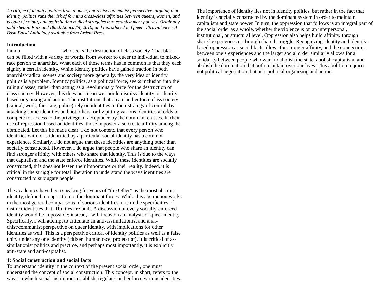*A critique of identity politics from a queer, anarchist communist perspective, arguing that identity politics runs the risk of forming cross-class affinities between queers, women, and people of colour, and assimilating radical struggles into establishment politics. Originally published in Pink and Black Attack #4, 2010, and reproduced in Queer Ultraviolence - A Bash Back! Anthology available from Ardent Press.* 

#### **Introduction**

I am a who seeks the destruction of class society. That blank can be filled with a variety of words, from worker to queer to individual to mixedrace person to anarchist. What each of these terms has in common is that they each signify a certain identity. While identity politics have gained traction in both anarchist/radical scenes and society more generally, the very idea of identity politics is a problem. Identity politics, as a political force, seeks inclusion into the ruling classes, rather than acttng as a revolutionary force for the destruction of class society. However, this does not mean we should dismiss identity or identitybased organizing and action. The institutions that create and enforce class society (capital, work, the state, police) rely on identities in their strategy of control, by attacking some identities and not others, or by pitting various identities at odds to compete for access to the privilege of acceptance by the dominant classes. In their use of repression based on identities, those in power also create affinity among the dominated. Let this be made clear: I do not contend that every person who identifies with or is identified by a particular social identity has a common experience. Similarly, I do not argue that these identities are anything other than socially constructed. However, I do argue that people who share an identity can find stronger affinity with others who share that identity. This is due to the ways that capitalism and the state enforce identities. While these identities are socially constructed, this does not lessen their importance or their reality. Indeed, it is critical in the struggle for total liberation to understand the ways identities are constructed to subjugate people.

The academics have been speaking for years of "the Other" as the most abstract identity, defined in opposition to the dominant forces. While this abstraction works in the most general comparisons of various identities, it is in the specificities of distinct identities that affinities are built. A discussion of every socially-enforced identity would be impossible; instead, I will focus on an analysis of queer identity. Specifically, I will attempt to articulate an anti-assimilationist and anarchist/communist perspective on queer identity, with implications for other identities as well. This is a perspective critical of identity politics as well as a false unity under any one identity (citizen, human race, proletariat). It is critical of assimilationist politics and practice, and perhaps most importantly, it is explicitly anti-state and anti-capitalist.

#### **1: Social construction and social facts**

To understand identity in the context of the present social order, one must understand the concept of social construction. This concept, in short, refers to the ways in which social institutions establish, regulate, and enforce various identities. The importance of identity lies not in identity politics, but rather in the fact that identity is socially constructed by the dominant system in order to maintain capitalism and state power. In turn, the oppression that follows is an integral part of the social order as a whole, whether the violence is on an interpersonal, institutional, or structural level. Oppression also helps build affinity, through shared experiences or through shared struggle. Recognizing identity and identitybased oppression as social facts allows for stronger affinity, and the connections between one's experiences and the larger social order similarly allows for a solidarity between people who want to abolish the state, abolish capitalism, and abolish the domination that both maintain over our lives. This abolition requires not political negotiation, but anti-political organizing and action.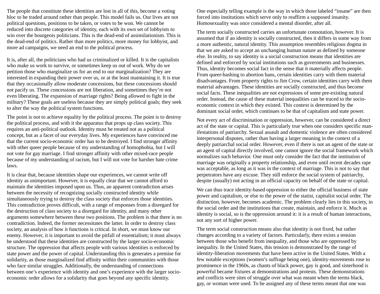The people that constitute these identities are lost in all of this, become a voting bloc to be traded around rather than people. This model fails us. Our lives are not political questions, positions to be taken, or votes to be won. We cannot be reduced into discrete categories of identity, each with its own set of lobbyists to win over the bourgeois politicians. This is the dead-end of assimilationism. This is the dead-end of politics. Rather than more politics, more money for lobbyist, and more ad campaigns, we need an end to the political process.

It is, after all, the politicians who had us criminalized or killed. It is the capitalists who make us work to survive, or sometimes keep us out of work. Why do we petition those who marginalize us for an end to our marginalization? They are interested in expanding their power over us, or at the least maintaining it. It is true that they occasionally allow moderate concessions, but these concessions should not pacify us. These concessions are not liberation, and sometimes they're not even liberating. The expansion of marriage rights? Being allowed to fight in the military? These goals are useless because they are simply political goals; they seek to alter the way the political system functions.

The point is not to achieve equality by the political process. The point is to destroy the political process, and with it the apparatus that props up class society. This requires an anti-political outlook. Identity must be treated not as a political concept, but as a facet of our everyday lives. My experiences have convinced me that the current socio-economic order has to be destroyed. I find stronger affinity with other queer people because of my understanding of homophobia, but I will not vote for gay marriage. I find stronger affinity with other mixed-race people because of my understanding of racism, but I will not vote for harsher hate crime laws.

It is clear that, because identities shape our experiences, we cannot write off identity as unimportant. However, it is equally clear that we cannot afford to maintain the identities imposed upon us. Thus, an apparent contradiction arises between the necessity of recognizing socially constructed identity while simultaneously trying to destroy the class society that enforces those identities. This contradiction proves difficult, with a range of responses from a disregard for the destruction of class society to a disregard for identity, and many other arguments somewhere between these two positions. The problem is that there is no contradiction. Indeed, the former necessitates the latter. In order to destroy class society, an analysis of how it functions is critical. In short, we must know our enemy. However, it is important to avoid the pitfall of essentialism; it must always be understood that these identities are constructed by the larger socio-economic structure. The oppression that affects people with various identities is enforced by state power and the power of capital. Understanding this is generates a premise for solidarity, as those marginalized find affinity within their communities with those who face similar struggles. Additionally, the understanding of connections between one's experience with identity and one's experience with the larger socioeconomic order allows for a solidarity that goes beyond any specific identity.

One especially telling example is the way in which those labeled "insane" are then forced into institutions which serve only to reaffirm a supposed insanity. Homosexuality was once considered a mental disorder, after all.

The term socially constructed carries an unfortunate connotation, however. It is assumed that if an identity is socially constructed, then it differs in some way from a more authentic, natural identity. This assumption resembles religious dogma in that we are asked to accept an unchanging human nature as defined by someone else. In reality, to say identity is a social construction means that identities are defined and enforced by social institutions such as governments and businesses. Thus, identity becomes social fact in the sense that it materially affects people. From queer-bashing to abortion bans, certain identities carry with them material disadvantages. From property rights to Jim Crow, certain identities carry with them material advantages. These identities are socially constructed, and thus become social facts. These inequalities are not expressions of some pre-existing natural order. Instead, the cause of these material inequalities can be traced to the socioeconomic context in which they existed. This context is determined by the dominant social order, which continues to be that of capitalism and state power.

Not every act of discrimination or oppression, however, can be considered a direct act of the state or capital. This is particularly true when one considers specific manifestations of patriarchy. Sexual assault and domestic violence are often considered interpersonal disputes, rather than having a larger meaning in the context of a deeply patriarchal social order. However, even if there is not an agent of the state or an agent of capital directly involved, one cannot ignore the social framework which normalizes such behavior. One must only consider the fact that the institution of marriage was originally a property relationship, and even until recent decades rape was acceptable, as long as it was in the context of marriage. This is not to say that perpetrators have any excuse. They still enforce the social system of patriarchy, despite (usually) not acting in an official capacity on behalf of the state or capital.

We can thus trace identity-based oppression to either the official business of state power and capitalism, or else to the power of the statist, capitalist social order. The distinction, however, becomes academic. The problem clearly lies in this society, in the social order and the institutions that create, maintain, and enforce it. Much as identity is social, so is the oppression around it: it is a result of human interactions, not any sort of higher power.

The term social construction means also that identity is not fixed, but rather changes according to a variety of factors. Particularly, there exists a tension between those who benefit from inequality, and those who are oppressed by inequality. In the United States, this tension is demonstrated by the range of identity-liberation movements that have been active in the United States. With a few notable exceptions (women's suffrage being one), identity-movements rose to prominence in the 1960s, as chants of black power, gay is good, and sisterhood is powerful became fixtures at demonstrations and protests. These demonstrations and conflicts were sites of struggle over what was meant when the terms black, gay, or woman were used. To be assigned any of these terms meant that one was